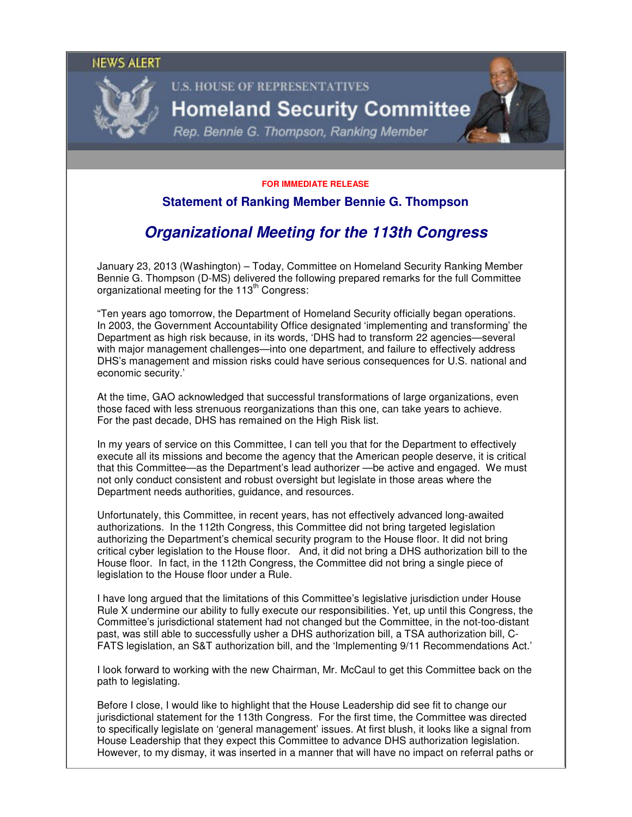#### **NEWS ALERT**



# **U.S. HOUSE OF REPRESENTATIVES Homeland Security Committee**

Rep. Bennie G. Thompson, Ranking Member

#### **FOR IMMEDIATE RELEASE**

### **Statement of Ranking Member Bennie G. Thompson**

## **Organizational Meeting for the 113th Congress**

January 23, 2013 (Washington) – Today, Committee on Homeland Security Ranking Member Bennie G. Thompson (D-MS) delivered the following prepared remarks for the full Committee organizational meeting for the 113<sup>th</sup> Congress:

"Ten years ago tomorrow, the Department of Homeland Security officially began operations. In 2003, the Government Accountability Office designated 'implementing and transforming' the Department as high risk because, in its words, 'DHS had to transform 22 agencies—several with major management challenges—into one department, and failure to effectively address DHS's management and mission risks could have serious consequences for U.S. national and economic security.'

At the time, GAO acknowledged that successful transformations of large organizations, even those faced with less strenuous reorganizations than this one, can take years to achieve. For the past decade, DHS has remained on the High Risk list.

In my years of service on this Committee, I can tell you that for the Department to effectively execute all its missions and become the agency that the American people deserve, it is critical that this Committee—as the Department's lead authorizer —be active and engaged. We must not only conduct consistent and robust oversight but legislate in those areas where the Department needs authorities, guidance, and resources.

Unfortunately, this Committee, in recent years, has not effectively advanced long-awaited authorizations. In the 112th Congress, this Committee did not bring targeted legislation authorizing the Department's chemical security program to the House floor. It did not bring critical cyber legislation to the House floor. And, it did not bring a DHS authorization bill to the House floor. In fact, in the 112th Congress, the Committee did not bring a single piece of legislation to the House floor under a Rule.

I have long argued that the limitations of this Committee's legislative jurisdiction under House Rule X undermine our ability to fully execute our responsibilities. Yet, up until this Congress, the Committee's jurisdictional statement had not changed but the Committee, in the not-too-distant past, was still able to successfully usher a DHS authorization bill, a TSA authorization bill, C-FATS legislation, an S&T authorization bill, and the 'Implementing 9/11 Recommendations Act.'

I look forward to working with the new Chairman, Mr. McCaul to get this Committee back on the path to legislating.

Before I close, I would like to highlight that the House Leadership did see fit to change our jurisdictional statement for the 113th Congress. For the first time, the Committee was directed to specifically legislate on 'general management' issues. At first blush, it looks like a signal from House Leadership that they expect this Committee to advance DHS authorization legislation. However, to my dismay, it was inserted in a manner that will have no impact on referral paths or